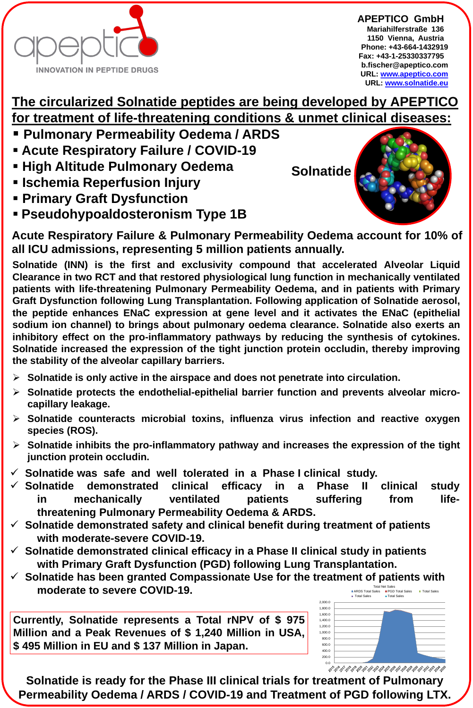## **The circularized Solnatide peptides are being developed by APEPTICO for treatment of life-threatening conditions & unmet clinical diseases:**

**Solnatide**



**APEPTICO GmbHx Mariahilferstraße 136x 1150 Vienna, Austriax Phone: +43-664-1432919 Fax: +43-1-25330337795x b.fischer@apeptico.com URL: [www.apeptico.com](http://www.apeptico.com/) URL: [www.solnatide.eu](http://www.solnatide.eu/)**

- **Pulmonary Permeability Oedema / ARDS**
- **Acute Respiratory Failure / COVID-19**
- **Example Pulmonary Oedema**
- **Example Reperfusion Injury**
- **Primary Graft Dysfunction**
- **Pseudohypoaldosteronism Type 1B**

- ➢ **Solnatide is only active in the airspace and does not penetrate into circulation.**
- ➢ **Solnatide protects the endothelial-epithelial barrier function and prevents alveolar microcapillary leakage.**
- ➢ **Solnatide counteracts microbial toxins, influenza virus infection and reactive oxygen species (ROS).**
- ➢ **Solnatide inhibits the pro-inflammatory pathway and increases the expression of the tight junction protein occludin.**
- ✓ **Solnatide was safe and well tolerated in a Phase I clinical study.**
- ✓ **Solnatide demonstrated clinical efficacy in a Phase II clinical study in mechanically ventilated patients suffering from lifethreatening Pulmonary Permeability Oedema & ARDS.**
- **Solnatide demonstrated safety and clinical benefit during treatment of patients with moderate-severe COVID-19.**
- **Solnatide demonstrated clinical efficacy in a Phase II clinical study in patients with Primary Graft Dysfunction (PGD) following Lung Transplantation.**
- Solnatide has been granted Compassionate Use for the treatment of patients with **moderate to severe COVID-19.** Total Net Sales **ARDS Total Sales PGD Total Sales PTotal Sales**

**Solnatide (INN) is the first and exclusivity compound that accelerated Alveolar Liquid Clearance in two RCT and that restored physiological lung function in mechanically ventilated patients with life-threatening Pulmonary Permeability Oedema, and in patients with Primary Graft Dysfunction following Lung Transplantation. Following application of Solnatide aerosol, the peptide enhances ENaC expression at gene level and it activates the ENaC (epithelial sodium ion channel) to brings about pulmonary oedema clearance. Solnatide also exerts an inhibitory effect on the pro-inflammatory pathways by reducing the synthesis of cytokines. Solnatide increased the expression of the tight junction protein occludin, thereby improving the stability of the alveolar capillary barriers.**

**Solnatide is ready for the Phase III clinical trials for treatment of Pulmonary Permeability Oedema / ARDS / COVID-19 and Treatment of PGD following LTX.**

**Currently, Solnatide represents a Total rNPV of \$ 975 Million and a Peak Revenues of \$ 1,240 Million in USA, \$ 495 Million in EU and \$ 137 Million in Japan.**



**Acute Respiratory Failure & Pulmonary Permeability Oedema account for 10% of all ICU admissions, representing 5 million patients annually.**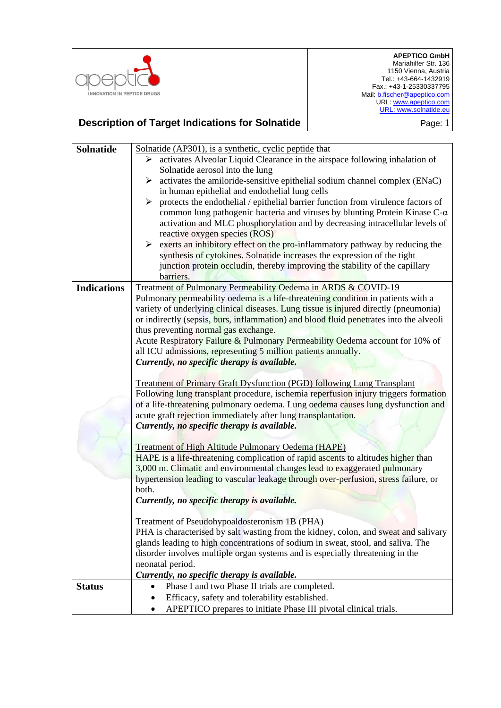

## **Description of Target Indications for Solnatide Page: 1** Page: 1

| <b>Solnatide</b>   | Solnatide (AP301), is a synthetic, cyclic peptide that                                                                                                            |
|--------------------|-------------------------------------------------------------------------------------------------------------------------------------------------------------------|
|                    | activates Alveolar Liquid Clearance in the airspace following inhalation of<br>➤                                                                                  |
|                    | Solnatide aerosol into the lung                                                                                                                                   |
|                    | $\triangleright$ activates the amiloride-sensitive epithelial sodium channel complex (ENaC)                                                                       |
|                    | in human epithelial and endothelial lung cells                                                                                                                    |
|                    | $\triangleright$ protects the endothelial / epithelial barrier function from virulence factors of                                                                 |
|                    | common lung pathogenic bacteria and viruses by blunting Protein Kinase $C$ - $\alpha$                                                                             |
|                    | activation and MLC phosphorylation and by decreasing intracellular levels of                                                                                      |
|                    | reactive oxygen species (ROS)                                                                                                                                     |
|                    | $\triangleright$ exerts an inhibitory effect on the pro-inflammatory pathway by reducing the                                                                      |
|                    | synthesis of cytokines. Solnatide increases the expression of the tight                                                                                           |
|                    | junction protein occludin, thereby improving the stability of the capillary                                                                                       |
| <b>Indications</b> | barriers.                                                                                                                                                         |
|                    | Treatment of Pulmonary Permeability Oedema in ARDS & COVID-19<br>Pulmonary permeability oedema is a life-threatening condition in patients with a                 |
|                    | variety of underlying clinical diseases. Lung tissue is injured directly (pneumonia)                                                                              |
|                    | or indirectly (sepsis, burs, inflammation) and blood fluid penetrates into the alveoli                                                                            |
|                    | thus preventing normal gas exchange.                                                                                                                              |
|                    | Acute Respiratory Failure & Pulmonary Permeability Oedema account for 10% of                                                                                      |
|                    | all ICU admissions, representing 5 million patients annually.                                                                                                     |
|                    | Currently, no specific therapy is available.                                                                                                                      |
|                    |                                                                                                                                                                   |
|                    | <b>Treatment of Primary Graft Dysfunction (PGD) following Lung Transplant</b>                                                                                     |
|                    | Following lung transplant procedure, ischemia reperfusion injury triggers formation                                                                               |
|                    | of a life-threatening pulmonary oedema. Lung oedema causes lung dysfunction and                                                                                   |
|                    | acute graft rejection immediately after lung transplantation.                                                                                                     |
|                    | Currently, no specific therapy is available.                                                                                                                      |
|                    |                                                                                                                                                                   |
|                    | <b>Treatment of High Altitude Pulmonary Oedema (HAPE)</b>                                                                                                         |
|                    | HAPE is a life-threatening complication of rapid ascents to altitudes higher than                                                                                 |
|                    | 3,000 m. Climatic and environmental changes lead to exaggerated pulmonary                                                                                         |
|                    | hypertension leading to vascular leakage through over-perfusion, stress failure, or                                                                               |
|                    | both.                                                                                                                                                             |
|                    | Currently, no specific therapy is available.                                                                                                                      |
|                    |                                                                                                                                                                   |
|                    | Treatment of Pseudohypoaldosteronism 1B (PHA)                                                                                                                     |
|                    | PHA is characterised by salt wasting from the kidney, colon, and sweat and salivary                                                                               |
|                    | glands leading to high concentrations of sodium in sweat, stool, and saliva. The<br>disorder involves multiple organ systems and is especially threatening in the |
|                    | neonatal period.                                                                                                                                                  |
|                    | Currently, no specific therapy is available.                                                                                                                      |
| <b>Status</b>      | Phase I and two Phase II trials are completed.                                                                                                                    |
|                    | Efficacy, safety and tolerability established.                                                                                                                    |
|                    |                                                                                                                                                                   |
|                    | APEPTICO prepares to initiate Phase III pivotal clinical trials.                                                                                                  |